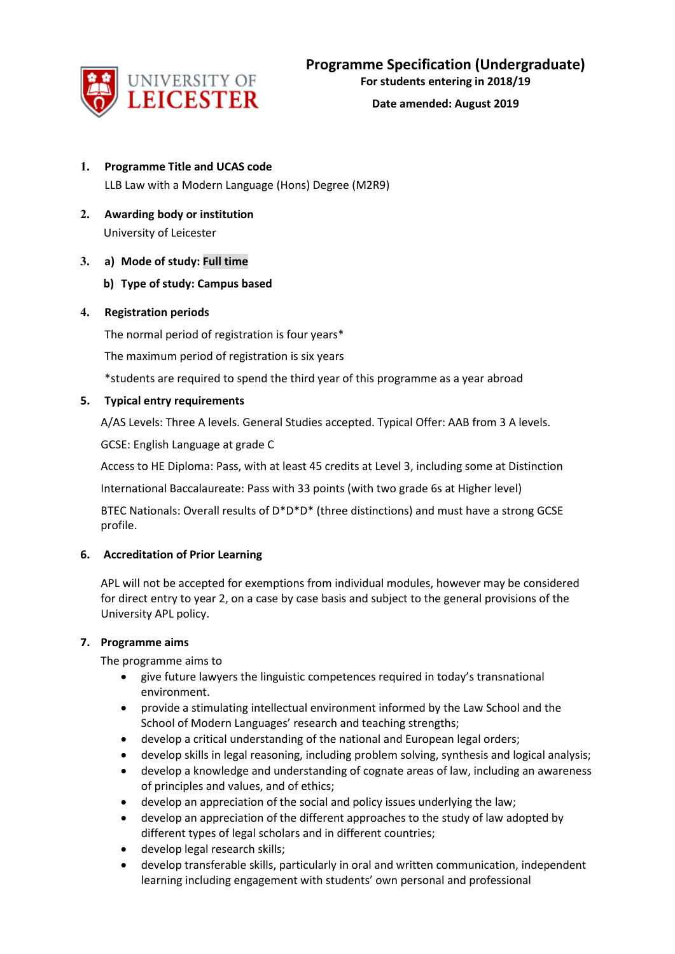

- **1. Programme Title and UCAS code** LLB Law with a Modern Language (Hons) Degree (M2R9)
- **2. Awarding body or institution** University of Leicester

# **3. a) Mode of study: Full time**

# **b) Type of study: Campus based**

# **4. Registration periods**

The normal period of registration is four years\*

The maximum period of registration is six years

\*students are required to spend the third year of this programme as a year abroad

# **5. Typical entry requirements**

A/AS Levels: Three A levels. General Studies accepted. Typical Offer: AAB from 3 A levels.

GCSE: English Language at grade C

Access to HE Diploma: Pass, with at least 45 credits at Level 3, including some at Distinction

International Baccalaureate: Pass with 33 points (with two grade 6s at Higher level)

BTEC Nationals: Overall results of D\*D\*D\* (three distinctions) and must have a strong GCSE profile.

# **6. Accreditation of Prior Learning**

APL will not be accepted for exemptions from individual modules, however may be considered for direct entry to year 2, on a case by case basis and subject to the general provisions of the University APL policy.

# **7. Programme aims**

The programme aims to

- give future lawyers the linguistic competences required in today's transnational environment.
- provide a stimulating intellectual environment informed by the Law School and the School of Modern Languages' research and teaching strengths;
- develop a critical understanding of the national and European legal orders;
- develop skills in legal reasoning, including problem solving, synthesis and logical analysis;
- develop a knowledge and understanding of cognate areas of law, including an awareness of principles and values, and of ethics;
- develop an appreciation of the social and policy issues underlying the law;
- develop an appreciation of the different approaches to the study of law adopted by different types of legal scholars and in different countries;
- develop legal research skills;
- develop transferable skills, particularly in oral and written communication, independent learning including engagement with students' own personal and professional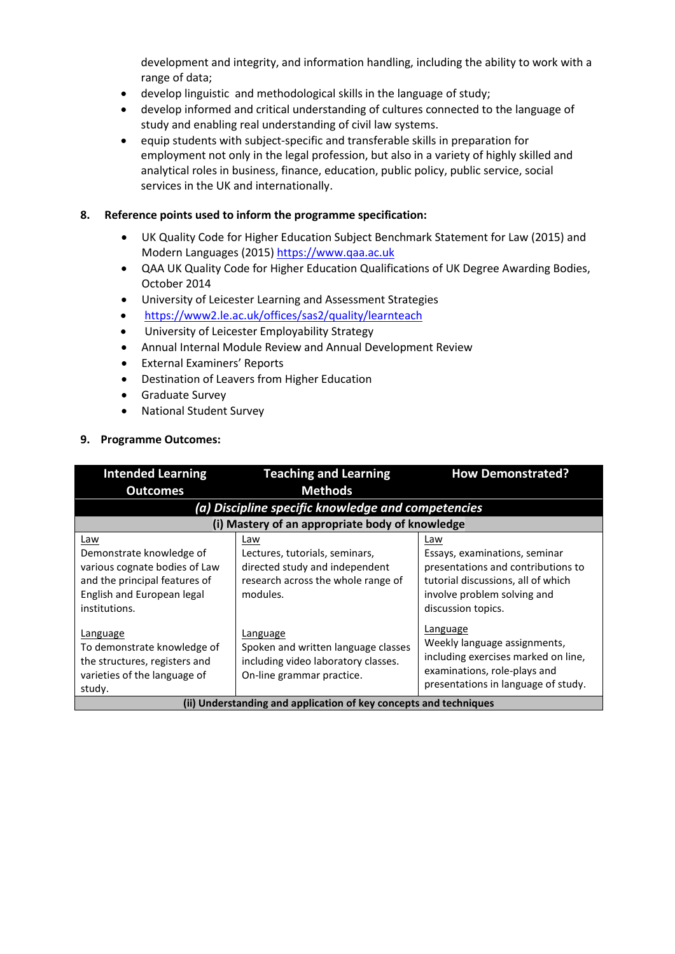development and integrity, and information handling, including the ability to work with a range of data;

- develop linguistic and methodological skills in the language of study;
- develop informed and critical understanding of cultures connected to the language of study and enabling real understanding of civil law systems.
- equip students with subject-specific and transferable skills in preparation for employment not only in the legal profession, but also in a variety of highly skilled and analytical roles in business, finance, education, public policy, public service, social services in the UK and internationally.

## **8. Reference points used to inform the programme specification:**

- UK Quality Code for Higher Education Subject Benchmark Statement for Law (2015) and Modern Languages (2015) [https://www.qaa.ac.uk](https://www.qaa.ac.uk/)
- QAA UK Quality Code for Higher Education Qualifications of UK Degree Awarding Bodies, October 2014
- University of Leicester Learning and Assessment Strategies
- <https://www2.le.ac.uk/offices/sas2/quality/learnteach>
- University of Leicester Employability Strategy
- Annual Internal Module Review and Annual Development Review
- External Examiners' Reports
- Destination of Leavers from Higher Education
- Graduate Survey
- National Student Survey

# **9. Programme Outcomes:**

| <b>Intended Learning</b>                                          | <b>Teaching and Learning</b>                       | <b>How Demonstrated?</b>            |  |  |
|-------------------------------------------------------------------|----------------------------------------------------|-------------------------------------|--|--|
| <b>Outcomes</b>                                                   | <b>Methods</b>                                     |                                     |  |  |
|                                                                   | (a) Discipline specific knowledge and competencies |                                     |  |  |
|                                                                   | (i) Mastery of an appropriate body of knowledge    |                                     |  |  |
| Law                                                               | Law                                                | Law                                 |  |  |
| Demonstrate knowledge of                                          | Lectures, tutorials, seminars,                     | Essays, examinations, seminar       |  |  |
| various cognate bodies of Law                                     | directed study and independent                     | presentations and contributions to  |  |  |
| and the principal features of                                     | research across the whole range of                 | tutorial discussions, all of which  |  |  |
| English and European legal                                        | modules.                                           | involve problem solving and         |  |  |
| institutions.                                                     |                                                    | discussion topics.                  |  |  |
| Language                                                          | Language                                           | Language                            |  |  |
| To demonstrate knowledge of                                       | Spoken and written language classes                | Weekly language assignments,        |  |  |
| the structures, registers and                                     | including video laboratory classes.                | including exercises marked on line, |  |  |
| varieties of the language of                                      | On-line grammar practice.                          | examinations, role-plays and        |  |  |
| study.                                                            |                                                    | presentations in language of study. |  |  |
| (ii) Understanding and application of key concepts and techniques |                                                    |                                     |  |  |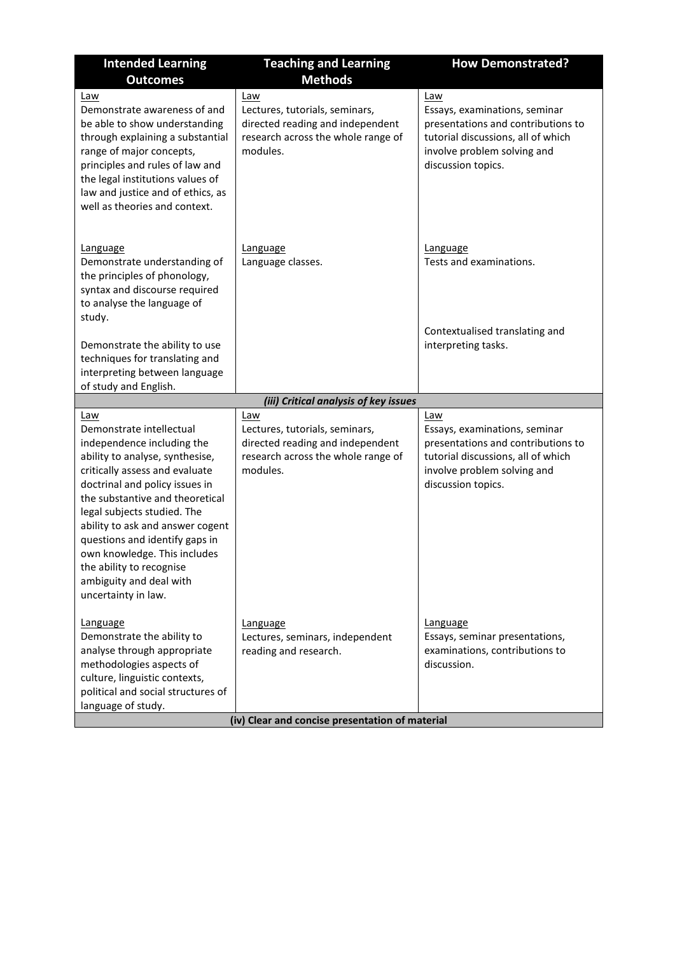| <b>Intended Learning</b><br><b>Outcomes</b>                                                                                                                                                                                                                                                                                                               | <b>Teaching and Learning</b><br><b>Methods</b>                                                                              | <b>How Demonstrated?</b>                                                                                                                                              |
|-----------------------------------------------------------------------------------------------------------------------------------------------------------------------------------------------------------------------------------------------------------------------------------------------------------------------------------------------------------|-----------------------------------------------------------------------------------------------------------------------------|-----------------------------------------------------------------------------------------------------------------------------------------------------------------------|
| Law<br>Demonstrate awareness of and<br>be able to show understanding<br>through explaining a substantial<br>range of major concepts,<br>principles and rules of law and<br>the legal institutions values of<br>law and justice and of ethics, as<br>well as theories and context.                                                                         | Law<br>Lectures, tutorials, seminars,<br>directed reading and independent<br>research across the whole range of<br>modules. | Law<br>Essays, examinations, seminar<br>presentations and contributions to<br>tutorial discussions, all of which<br>involve problem solving and<br>discussion topics. |
| Language<br>Demonstrate understanding of<br>the principles of phonology,<br>syntax and discourse required<br>to analyse the language of<br>study.                                                                                                                                                                                                         | Language<br>Language classes.                                                                                               | <b>Language</b><br>Tests and examinations.                                                                                                                            |
| Demonstrate the ability to use<br>techniques for translating and<br>interpreting between language<br>of study and English.                                                                                                                                                                                                                                |                                                                                                                             | Contextualised translating and<br>interpreting tasks.                                                                                                                 |
|                                                                                                                                                                                                                                                                                                                                                           | (iii) Critical analysis of key issues                                                                                       |                                                                                                                                                                       |
| Law<br>Demonstrate intellectual<br>independence including the                                                                                                                                                                                                                                                                                             | Law<br>Lectures, tutorials, seminars,<br>directed reading and independent                                                   | Law<br>Essays, examinations, seminar<br>presentations and contributions to                                                                                            |
| ability to analyse, synthesise,<br>critically assess and evaluate<br>doctrinal and policy issues in<br>the substantive and theoretical<br>legal subjects studied. The<br>ability to ask and answer cogent<br>questions and identify gaps in<br>own knowledge. This includes<br>the ability to recognise<br>ambiguity and deal with<br>uncertainty in law. | research across the whole range of<br>modules.                                                                              | tutorial discussions, all of which<br>involve problem solving and<br>discussion topics.                                                                               |
| <b>Language</b><br>Demonstrate the ability to<br>analyse through appropriate<br>methodologies aspects of<br>culture, linguistic contexts,<br>political and social structures of<br>language of study.                                                                                                                                                     | Language<br>Lectures, seminars, independent<br>reading and research.<br>(iv) Clear and concise presentation of material     | Language<br>Essays, seminar presentations,<br>examinations, contributions to<br>discussion.                                                                           |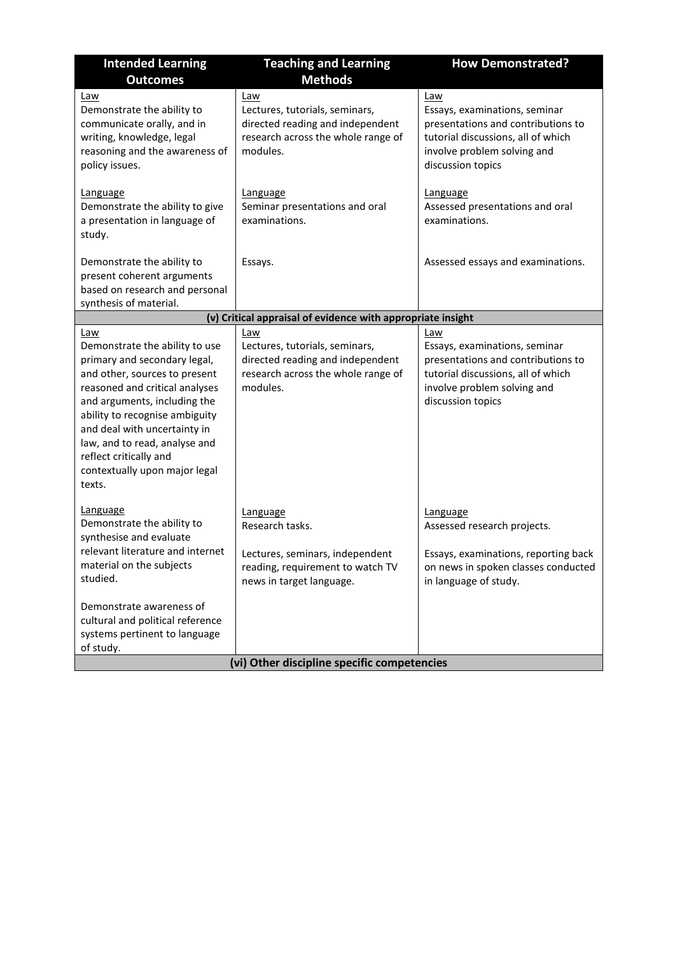| <b>Intended Learning</b>                                                                                                                                                                                                                                                                                                                         | <b>Teaching and Learning</b>                                                                                                   | <b>How Demonstrated?</b>                                                                                                                                             |  |
|--------------------------------------------------------------------------------------------------------------------------------------------------------------------------------------------------------------------------------------------------------------------------------------------------------------------------------------------------|--------------------------------------------------------------------------------------------------------------------------------|----------------------------------------------------------------------------------------------------------------------------------------------------------------------|--|
| <b>Outcomes</b>                                                                                                                                                                                                                                                                                                                                  | <b>Methods</b>                                                                                                                 |                                                                                                                                                                      |  |
| Law<br>Demonstrate the ability to<br>communicate orally, and in<br>writing, knowledge, legal<br>reasoning and the awareness of<br>policy issues.                                                                                                                                                                                                 | Law<br>Lectures, tutorials, seminars,<br>directed reading and independent<br>research across the whole range of<br>modules.    | Law<br>Essays, examinations, seminar<br>presentations and contributions to<br>tutorial discussions, all of which<br>involve problem solving and<br>discussion topics |  |
| Language<br>Demonstrate the ability to give<br>a presentation in language of<br>study.                                                                                                                                                                                                                                                           | Language<br>Seminar presentations and oral<br>examinations.                                                                    | Language<br>Assessed presentations and oral<br>examinations.                                                                                                         |  |
| Demonstrate the ability to<br>present coherent arguments<br>based on research and personal<br>synthesis of material.                                                                                                                                                                                                                             | Essays.                                                                                                                        | Assessed essays and examinations.                                                                                                                                    |  |
|                                                                                                                                                                                                                                                                                                                                                  | (v) Critical appraisal of evidence with appropriate insight                                                                    |                                                                                                                                                                      |  |
| Law<br>Demonstrate the ability to use<br>primary and secondary legal,<br>and other, sources to present<br>reasoned and critical analyses<br>and arguments, including the<br>ability to recognise ambiguity<br>and deal with uncertainty in<br>law, and to read, analyse and<br>reflect critically and<br>contextually upon major legal<br>texts. | Law<br>Lectures, tutorials, seminars,<br>directed reading and independent<br>research across the whole range of<br>modules.    | Law<br>Essays, examinations, seminar<br>presentations and contributions to<br>tutorial discussions, all of which<br>involve problem solving and<br>discussion topics |  |
| <b>Language</b><br>Demonstrate the ability to<br>synthesise and evaluate<br>relevant literature and internet<br>material on the subjects<br>studied.<br>Demonstrate awareness of<br>cultural and political reference                                                                                                                             | Language<br>Research tasks.<br>Lectures, seminars, independent<br>reading, requirement to watch TV<br>news in target language. | Language<br>Assessed research projects.<br>Essays, examinations, reporting back<br>on news in spoken classes conducted<br>in language of study.                      |  |
| systems pertinent to language                                                                                                                                                                                                                                                                                                                    |                                                                                                                                |                                                                                                                                                                      |  |
| of study.                                                                                                                                                                                                                                                                                                                                        | (vi) Other discipline specific competencies                                                                                    |                                                                                                                                                                      |  |
|                                                                                                                                                                                                                                                                                                                                                  |                                                                                                                                |                                                                                                                                                                      |  |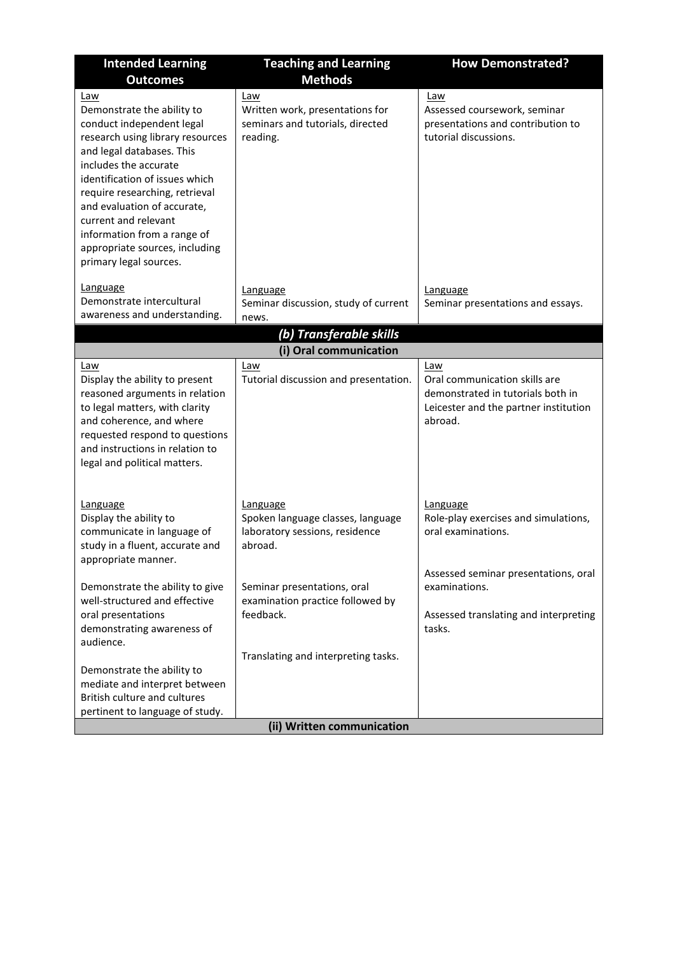| <b>Intended Learning</b><br><b>Outcomes</b>                                                                                                                                                                                                                                                                                                                                    | <b>Teaching and Learning</b><br><b>Methods</b>                                                                      | <b>How Demonstrated?</b>                                                                                                      |
|--------------------------------------------------------------------------------------------------------------------------------------------------------------------------------------------------------------------------------------------------------------------------------------------------------------------------------------------------------------------------------|---------------------------------------------------------------------------------------------------------------------|-------------------------------------------------------------------------------------------------------------------------------|
| Law<br>Demonstrate the ability to<br>conduct independent legal<br>research using library resources<br>and legal databases. This<br>includes the accurate<br>identification of issues which<br>require researching, retrieval<br>and evaluation of accurate,<br>current and relevant<br>information from a range of<br>appropriate sources, including<br>primary legal sources. | Law<br>Written work, presentations for<br>seminars and tutorials, directed<br>reading.                              | Law<br>Assessed coursework, seminar<br>presentations and contribution to<br>tutorial discussions.                             |
| Language<br>Demonstrate intercultural<br>awareness and understanding.                                                                                                                                                                                                                                                                                                          | Language<br>Seminar discussion, study of current<br>news.                                                           | <b>Language</b><br>Seminar presentations and essays.                                                                          |
|                                                                                                                                                                                                                                                                                                                                                                                | (b) Transferable skills                                                                                             |                                                                                                                               |
|                                                                                                                                                                                                                                                                                                                                                                                | (i) Oral communication                                                                                              |                                                                                                                               |
| Law<br>Display the ability to present<br>reasoned arguments in relation<br>to legal matters, with clarity<br>and coherence, and where<br>requested respond to questions<br>and instructions in relation to<br>legal and political matters.                                                                                                                                     | Law<br>Tutorial discussion and presentation.                                                                        | Law<br>Oral communication skills are<br>demonstrated in tutorials both in<br>Leicester and the partner institution<br>abroad. |
| Language<br>Display the ability to<br>communicate in language of<br>study in a fluent, accurate and<br>appropriate manner.                                                                                                                                                                                                                                                     | Language<br>Spoken language classes, language<br>laboratory sessions, residence<br>abroad.                          | Language<br>Role-play exercises and simulations,<br>oral examinations.<br>Assessed seminar presentations, oral                |
| Demonstrate the ability to give<br>well-structured and effective<br>oral presentations<br>demonstrating awareness of<br>audience.                                                                                                                                                                                                                                              | Seminar presentations, oral<br>examination practice followed by<br>feedback.<br>Translating and interpreting tasks. | examinations.<br>Assessed translating and interpreting<br>tasks.                                                              |
| Demonstrate the ability to<br>mediate and interpret between<br>British culture and cultures<br>pertinent to language of study.                                                                                                                                                                                                                                                 | (ii) Written communication                                                                                          |                                                                                                                               |
|                                                                                                                                                                                                                                                                                                                                                                                |                                                                                                                     |                                                                                                                               |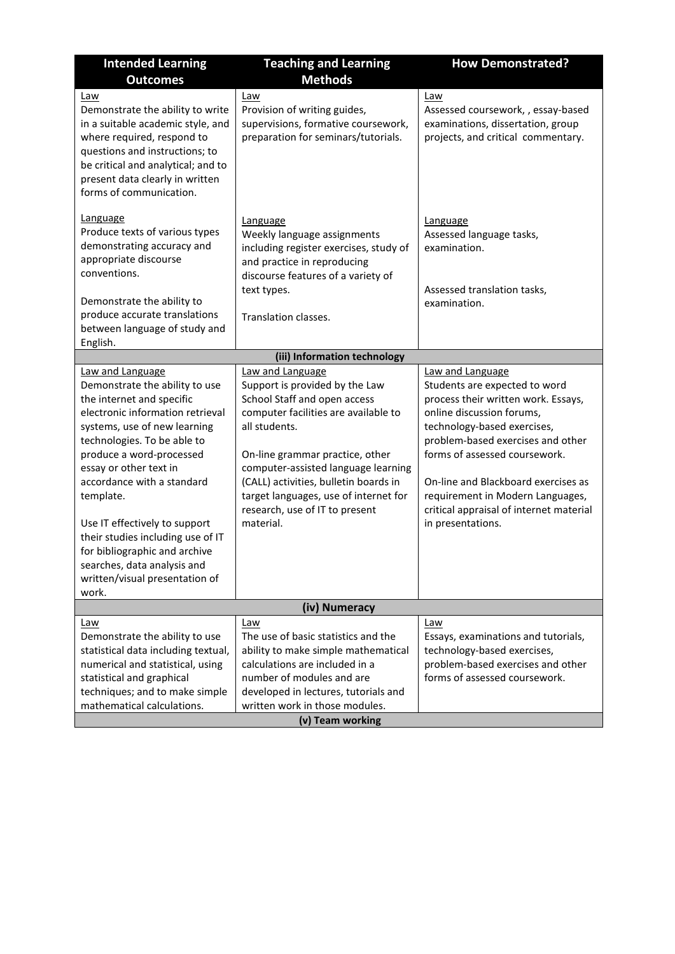| <b>Intended Learning</b><br><b>Outcomes</b>                                                                                                                                                                                                                                                                                                                                                                                                                          | <b>Teaching and Learning</b><br><b>Methods</b>                                                                                                                                                                                                                                                                                                         | <b>How Demonstrated?</b>                                                                                                                                                                                                                                                                                                                                              |
|----------------------------------------------------------------------------------------------------------------------------------------------------------------------------------------------------------------------------------------------------------------------------------------------------------------------------------------------------------------------------------------------------------------------------------------------------------------------|--------------------------------------------------------------------------------------------------------------------------------------------------------------------------------------------------------------------------------------------------------------------------------------------------------------------------------------------------------|-----------------------------------------------------------------------------------------------------------------------------------------------------------------------------------------------------------------------------------------------------------------------------------------------------------------------------------------------------------------------|
| Law<br>Demonstrate the ability to write<br>in a suitable academic style, and<br>where required, respond to<br>questions and instructions; to<br>be critical and analytical; and to<br>present data clearly in written<br>forms of communication.                                                                                                                                                                                                                     | Law<br>Provision of writing guides,<br>supervisions, formative coursework,<br>preparation for seminars/tutorials.                                                                                                                                                                                                                                      | Law<br>Assessed coursework, , essay-based<br>examinations, dissertation, group<br>projects, and critical commentary.                                                                                                                                                                                                                                                  |
| Language<br>Produce texts of various types<br>demonstrating accuracy and<br>appropriate discourse<br>conventions.<br>Demonstrate the ability to<br>produce accurate translations<br>between language of study and<br>English.                                                                                                                                                                                                                                        | Language<br>Weekly language assignments<br>including register exercises, study of<br>and practice in reproducing<br>discourse features of a variety of<br>text types.<br>Translation classes.                                                                                                                                                          | Language<br>Assessed language tasks,<br>examination.<br>Assessed translation tasks,<br>examination.                                                                                                                                                                                                                                                                   |
|                                                                                                                                                                                                                                                                                                                                                                                                                                                                      | (iii) Information technology                                                                                                                                                                                                                                                                                                                           |                                                                                                                                                                                                                                                                                                                                                                       |
| Law and Language<br>Demonstrate the ability to use<br>the internet and specific<br>electronic information retrieval<br>systems, use of new learning<br>technologies. To be able to<br>produce a word-processed<br>essay or other text in<br>accordance with a standard<br>template.<br>Use IT effectively to support<br>their studies including use of IT<br>for bibliographic and archive<br>searches, data analysis and<br>written/visual presentation of<br>work. | Law and Language<br>Support is provided by the Law<br>School Staff and open access<br>computer facilities are available to<br>all students.<br>On-line grammar practice, other<br>computer-assisted language learning<br>(CALL) activities, bulletin boards in<br>target languages, use of internet for<br>research, use of IT to present<br>material. | Law and Language<br>Students are expected to word<br>process their written work. Essays,<br>online discussion forums,<br>technology-based exercises,<br>problem-based exercises and other<br>forms of assessed coursework.<br>On-line and Blackboard exercises as<br>requirement in Modern Languages,<br>critical appraisal of internet material<br>in presentations. |
|                                                                                                                                                                                                                                                                                                                                                                                                                                                                      | (iv) Numeracy                                                                                                                                                                                                                                                                                                                                          |                                                                                                                                                                                                                                                                                                                                                                       |
| <u>Law</u><br>Demonstrate the ability to use<br>statistical data including textual,<br>numerical and statistical, using<br>statistical and graphical<br>techniques; and to make simple<br>mathematical calculations.                                                                                                                                                                                                                                                 | Law<br>The use of basic statistics and the<br>ability to make simple mathematical<br>calculations are included in a<br>number of modules and are<br>developed in lectures, tutorials and<br>written work in those modules.<br>(v) Team working                                                                                                         | Law<br>Essays, examinations and tutorials,<br>technology-based exercises,<br>problem-based exercises and other<br>forms of assessed coursework.                                                                                                                                                                                                                       |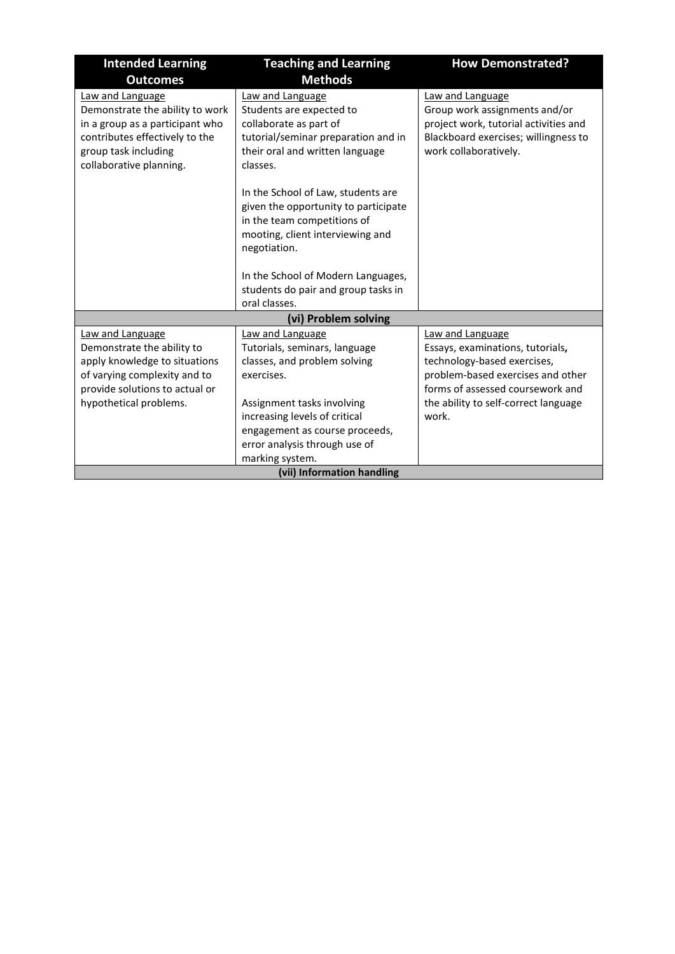| <b>Intended Learning</b>                                                                                                                                                    | <b>Teaching and Learning</b>                                                                                                                                                                                                                         | <b>How Demonstrated?</b>                                                                                                                                                                                      |  |
|-----------------------------------------------------------------------------------------------------------------------------------------------------------------------------|------------------------------------------------------------------------------------------------------------------------------------------------------------------------------------------------------------------------------------------------------|---------------------------------------------------------------------------------------------------------------------------------------------------------------------------------------------------------------|--|
| <b>Outcomes</b>                                                                                                                                                             | <b>Methods</b>                                                                                                                                                                                                                                       |                                                                                                                                                                                                               |  |
| Law and Language<br>Demonstrate the ability to work<br>in a group as a participant who<br>contributes effectively to the<br>group task including<br>collaborative planning. | Law and Language<br>Students are expected to<br>collaborate as part of<br>tutorial/seminar preparation and in<br>their oral and written language<br>classes.                                                                                         | Law and Language<br>Group work assignments and/or<br>project work, tutorial activities and<br>Blackboard exercises; willingness to<br>work collaboratively.                                                   |  |
|                                                                                                                                                                             | In the School of Law, students are<br>given the opportunity to participate<br>in the team competitions of<br>mooting, client interviewing and<br>negotiation.<br>In the School of Modern Languages,                                                  |                                                                                                                                                                                                               |  |
|                                                                                                                                                                             | students do pair and group tasks in<br>oral classes.                                                                                                                                                                                                 |                                                                                                                                                                                                               |  |
|                                                                                                                                                                             | (vi) Problem solving                                                                                                                                                                                                                                 |                                                                                                                                                                                                               |  |
| Law and Language<br>Demonstrate the ability to<br>apply knowledge to situations<br>of varying complexity and to<br>provide solutions to actual or<br>hypothetical problems. | Law and Language<br>Tutorials, seminars, language<br>classes, and problem solving<br>exercises.<br>Assignment tasks involving<br>increasing levels of critical<br>engagement as course proceeds,<br>error analysis through use of<br>marking system. | Law and Language<br>Essays, examinations, tutorials,<br>technology-based exercises,<br>problem-based exercises and other<br>forms of assessed coursework and<br>the ability to self-correct language<br>work. |  |
| (vii) Information handling                                                                                                                                                  |                                                                                                                                                                                                                                                      |                                                                                                                                                                                                               |  |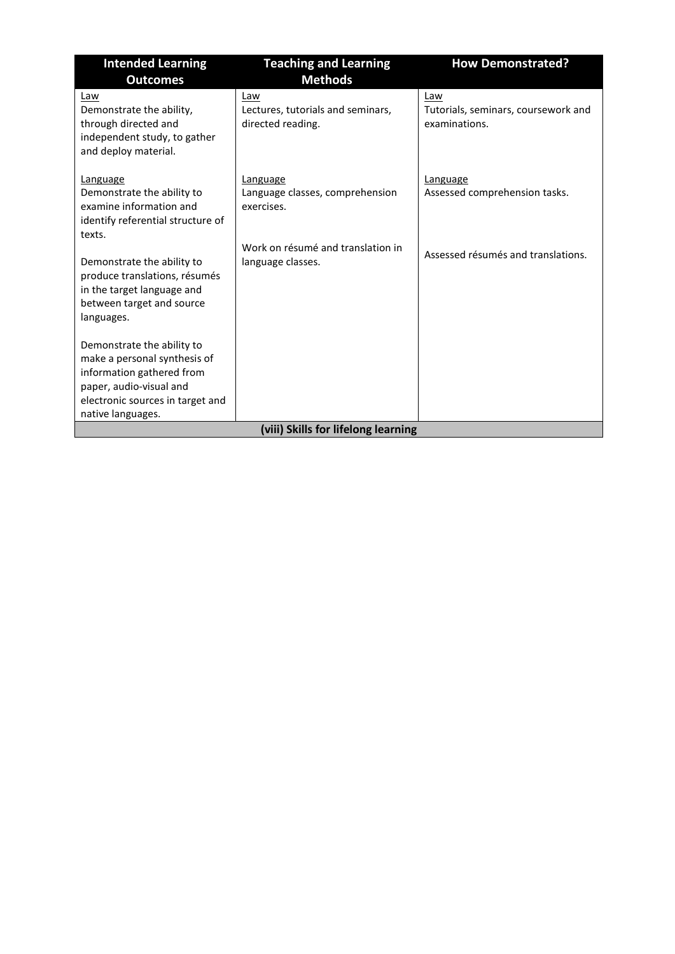| <b>Intended Learning</b>                                                                                                                                                    | <b>Teaching and Learning</b>                                  | <b>How Demonstrated?</b>                                    |
|-----------------------------------------------------------------------------------------------------------------------------------------------------------------------------|---------------------------------------------------------------|-------------------------------------------------------------|
| <b>Outcomes</b>                                                                                                                                                             | <b>Methods</b>                                                |                                                             |
| Law<br>Demonstrate the ability,<br>through directed and<br>independent study, to gather<br>and deploy material.                                                             | Law<br>Lectures, tutorials and seminars,<br>directed reading. | Law<br>Tutorials, seminars, coursework and<br>examinations. |
| Language<br>Demonstrate the ability to<br>examine information and<br>identify referential structure of<br>texts.                                                            | Language<br>Language classes, comprehension<br>exercises.     | Language<br>Assessed comprehension tasks.                   |
| Demonstrate the ability to<br>produce translations, résumés<br>in the target language and<br>between target and source<br>languages.                                        | Work on résumé and translation in<br>language classes.        | Assessed résumés and translations.                          |
| Demonstrate the ability to<br>make a personal synthesis of<br>information gathered from<br>paper, audio-visual and<br>electronic sources in target and<br>native languages. |                                                               |                                                             |
|                                                                                                                                                                             | (viii) Skills for lifelong learning                           |                                                             |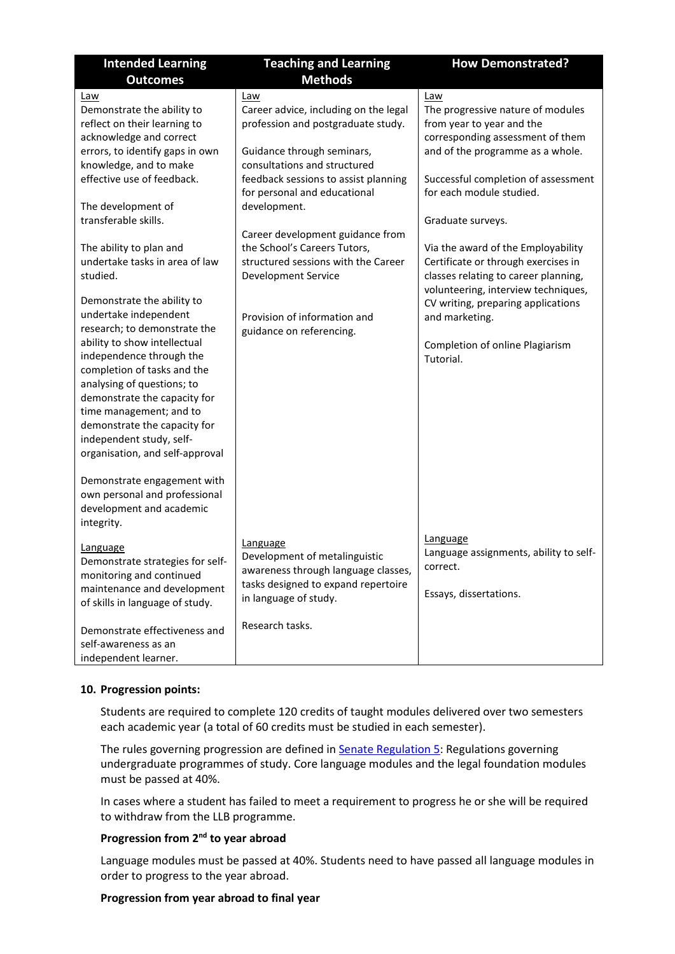| <b>Intended Learning</b>                                                                                                                                                                                                                                                                                                                                                                                                                                                                                                                                                                                                                              | <b>Teaching and Learning</b>                                                                                                                                                                                                                                                                                                                                                                                                                  | <b>How Demonstrated?</b>                                                                                                                                                                                                                                                                                                                                                                                                                                                                                  |
|-------------------------------------------------------------------------------------------------------------------------------------------------------------------------------------------------------------------------------------------------------------------------------------------------------------------------------------------------------------------------------------------------------------------------------------------------------------------------------------------------------------------------------------------------------------------------------------------------------------------------------------------------------|-----------------------------------------------------------------------------------------------------------------------------------------------------------------------------------------------------------------------------------------------------------------------------------------------------------------------------------------------------------------------------------------------------------------------------------------------|-----------------------------------------------------------------------------------------------------------------------------------------------------------------------------------------------------------------------------------------------------------------------------------------------------------------------------------------------------------------------------------------------------------------------------------------------------------------------------------------------------------|
| <b>Outcomes</b>                                                                                                                                                                                                                                                                                                                                                                                                                                                                                                                                                                                                                                       | <b>Methods</b>                                                                                                                                                                                                                                                                                                                                                                                                                                |                                                                                                                                                                                                                                                                                                                                                                                                                                                                                                           |
| Law<br>Demonstrate the ability to<br>reflect on their learning to<br>acknowledge and correct<br>errors, to identify gaps in own<br>knowledge, and to make<br>effective use of feedback.<br>The development of<br>transferable skills.<br>The ability to plan and<br>undertake tasks in area of law<br>studied.<br>Demonstrate the ability to<br>undertake independent<br>research; to demonstrate the<br>ability to show intellectual<br>independence through the<br>completion of tasks and the<br>analysing of questions; to<br>demonstrate the capacity for<br>time management; and to<br>demonstrate the capacity for<br>independent study, self- | Law<br>Career advice, including on the legal<br>profession and postgraduate study.<br>Guidance through seminars,<br>consultations and structured<br>feedback sessions to assist planning<br>for personal and educational<br>development.<br>Career development guidance from<br>the School's Careers Tutors,<br>structured sessions with the Career<br><b>Development Service</b><br>Provision of information and<br>guidance on referencing. | Law<br>The progressive nature of modules<br>from year to year and the<br>corresponding assessment of them<br>and of the programme as a whole.<br>Successful completion of assessment<br>for each module studied.<br>Graduate surveys.<br>Via the award of the Employability<br>Certificate or through exercises in<br>classes relating to career planning,<br>volunteering, interview techniques,<br>CV writing, preparing applications<br>and marketing.<br>Completion of online Plagiarism<br>Tutorial. |
| organisation, and self-approval<br>Demonstrate engagement with<br>own personal and professional<br>development and academic<br>integrity.<br>Language<br>Demonstrate strategies for self-<br>monitoring and continued<br>maintenance and development<br>of skills in language of study.<br>Demonstrate effectiveness and<br>self-awareness as an<br>independent learner.                                                                                                                                                                                                                                                                              | <b>Language</b><br>Development of metalinguistic<br>awareness through language classes,<br>tasks designed to expand repertoire<br>in language of study.<br>Research tasks.                                                                                                                                                                                                                                                                    | Language<br>Language assignments, ability to self-<br>correct.<br>Essays, dissertations.                                                                                                                                                                                                                                                                                                                                                                                                                  |

## **10. Progression points:**

Students are required to complete 120 credits of taught modules delivered over two semesters each academic year (a total of 60 credits must be studied in each semester).

The rules governing progression are defined in **Senate Regulation 5:** Regulations governing undergraduate programmes of study. Core language modules and the legal foundation modules must be passed at 40%.

In cases where a student has failed to meet a requirement to progress he or she will be required to withdraw from the LLB programme.

# **Progression from 2nd to year abroad**

Language modules must be passed at 40%. Students need to have passed all language modules in order to progress to the year abroad.

## **Progression from year abroad to final year**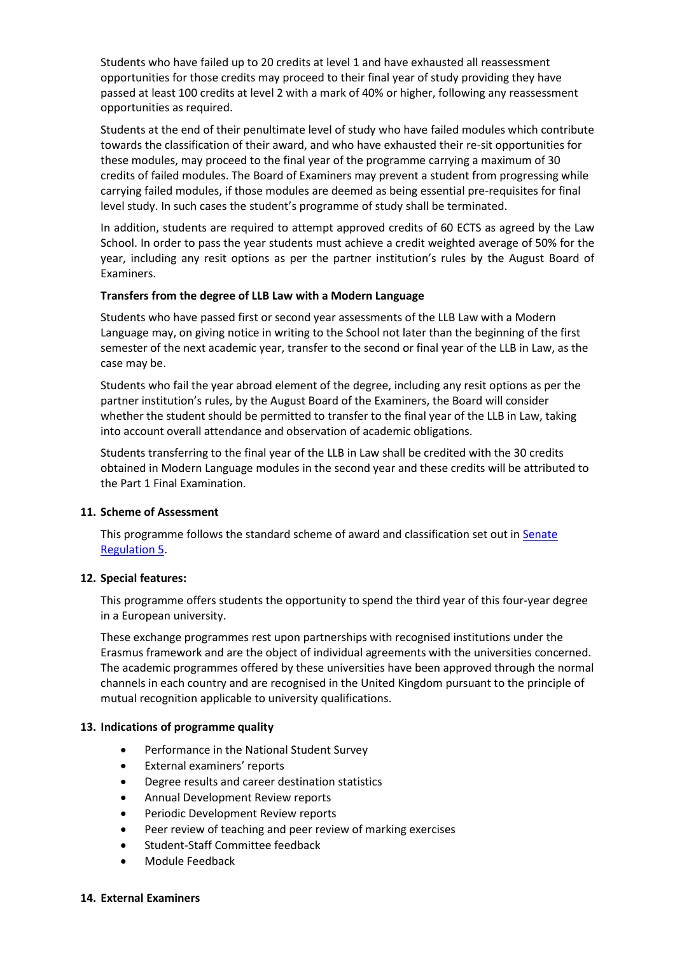Students who have failed up to 20 credits at level 1 and have exhausted all reassessment opportunities for those credits may proceed to their final year of study providing they have passed at least 100 credits at level 2 with a mark of 40% or higher, following any reassessment opportunities as required.

Students at the end of their penultimate level of study who have failed modules which contribute towards the classification of their award, and who have exhausted their re-sit opportunities for these modules, may proceed to the final year of the programme carrying a maximum of 30 credits of failed modules. The Board of Examiners may prevent a student from progressing while carrying failed modules, if those modules are deemed as being essential pre-requisites for final level study. In such cases the student's programme of study shall be terminated.

In addition, students are required to attempt approved credits of 60 ECTS as agreed by the Law School. In order to pass the year students must achieve a credit weighted average of 50% for the year, including any resit options as per the partner institution's rules by the August Board of Examiners.

## **Transfers from the degree of LLB Law with a Modern Language**

Students who have passed first or second year assessments of the LLB Law with a Modern Language may, on giving notice in writing to the School not later than the beginning of the first semester of the next academic year, transfer to the second or final year of the LLB in Law, as the case may be.

Students who fail the year abroad element of the degree, including any resit options as per the partner institution's rules, by the August Board of the Examiners, the Board will consider whether the student should be permitted to transfer to the final year of the LLB in Law, taking into account overall attendance and observation of academic obligations.

Students transferring to the final year of the LLB in Law shall be credited with the 30 credits obtained in Modern Language modules in the second year and these credits will be attributed to the Part 1 Final Examination.

## **11. Scheme of Assessment**

This programme follows the standard scheme of award and classification set out in [Senate](https://www2.le.ac.uk/offices/sas2/regulations/documents/senatereg5-undergraduates)  [Regulation 5.](https://www2.le.ac.uk/offices/sas2/regulations/documents/senatereg5-undergraduates)

## **12. Special features:**

This programme offers students the opportunity to spend the third year of this four-year degree in a European university.

These exchange programmes rest upon partnerships with recognised institutions under the Erasmus framework and are the object of individual agreements with the universities concerned. The academic programmes offered by these universities have been approved through the normal channels in each country and are recognised in the United Kingdom pursuant to the principle of mutual recognition applicable to university qualifications.

## **13. Indications of programme quality**

- Performance in the National Student Survey
- External examiners' reports
- Degree results and career destination statistics
- Annual Development Review reports
- Periodic Development Review reports
- Peer review of teaching and peer review of marking exercises
- Student-Staff Committee feedback
- Module Feedback

## **14. External Examiners**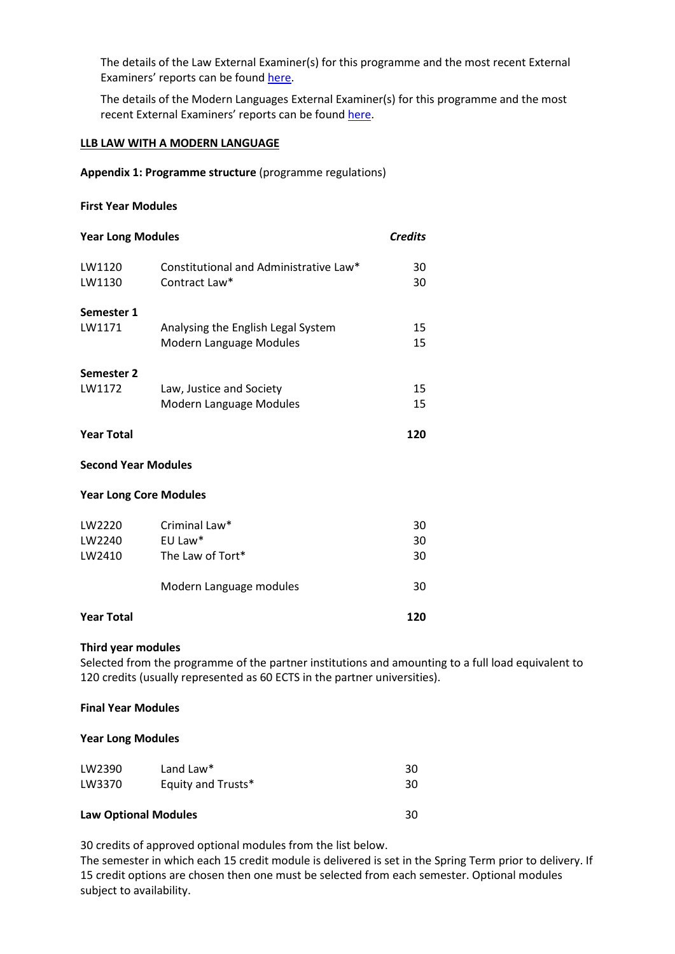The details of the Law External Examiner(s) for this programme and the most recent External Examiners' reports can be found [here.](https://exampapers.le.ac.uk/xmlui/handle/123456789/8)

The details of the Modern Languages External Examiner(s) for this programme and the most recent External Examiners' reports can be found [here.](https://exampapers.le.ac.uk/xmlui/handle/123456789/196)

#### **LLB LAW WITH A MODERN LANGUAGE**

**Appendix 1: Programme structure** (programme regulations)

## **First Year Modules**

| <b>Year Long Modules</b>      |                                                         | <b>Credits</b> |  |
|-------------------------------|---------------------------------------------------------|----------------|--|
| LW1120<br>LW1130              | Constitutional and Administrative Law*<br>Contract Law* | 30<br>30       |  |
| Semester 1                    |                                                         |                |  |
| LW1171                        | Analysing the English Legal System                      | 15             |  |
|                               | Modern Language Modules                                 | 15             |  |
| Semester 2                    |                                                         |                |  |
| LW1172                        | Law, Justice and Society                                | 15             |  |
|                               | Modern Language Modules                                 | 15             |  |
| <b>Year Total</b>             |                                                         | 120            |  |
| <b>Second Year Modules</b>    |                                                         |                |  |
| <b>Year Long Core Modules</b> |                                                         |                |  |
| LW2220                        | Criminal Law*                                           | 30             |  |
| LW2240                        | EU Law*                                                 | 30             |  |

| <b>Year Total</b> |                         | 120 |
|-------------------|-------------------------|-----|
|                   | Modern Language modules | 30  |
| LW2410            | The Law of Tort*        | 30  |

#### **Third year modules**

Selected from the programme of the partner institutions and amounting to a full load equivalent to 120 credits (usually represented as 60 ECTS in the partner universities).

### **Final Year Modules**

## **Year Long Modules**

| <b>Law Optional Modules</b> |                    | 30 |
|-----------------------------|--------------------|----|
| LW3370                      | Equity and Trusts* | 30 |
| LW2390                      | Land Law*          | 30 |

30 credits of approved optional modules from the list below.

The semester in which each 15 credit module is delivered is set in the Spring Term prior to delivery. If 15 credit options are chosen then one must be selected from each semester. Optional modules subject to availability.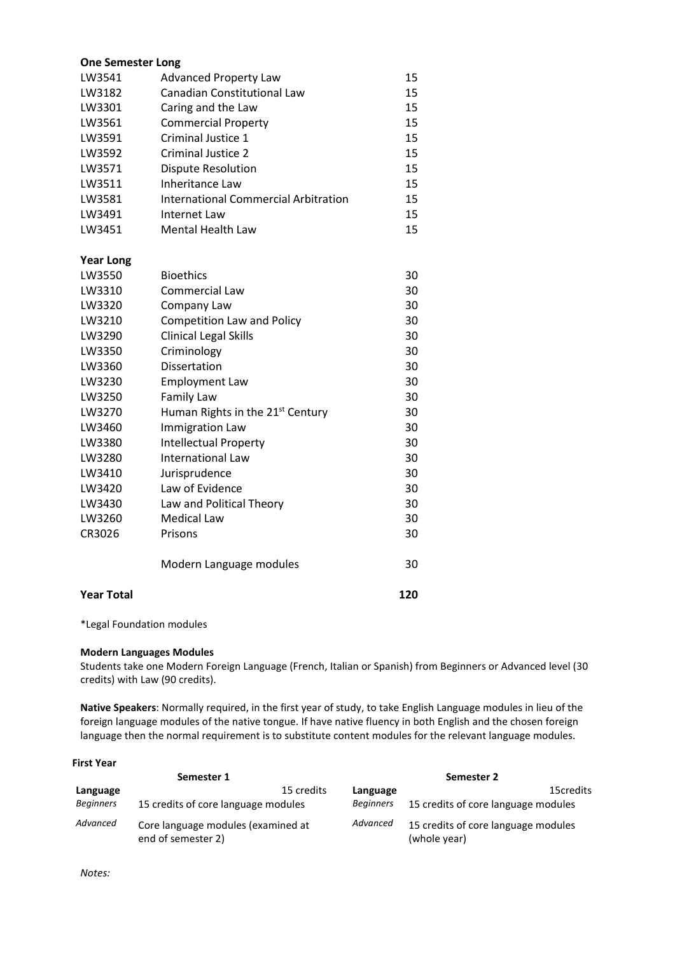#### **One Semester Long**

| LW3541           | <b>Advanced Property Law</b>                | 15 |
|------------------|---------------------------------------------|----|
| LW3182           | <b>Canadian Constitutional Law</b>          | 15 |
| LW3301           | Caring and the Law                          | 15 |
| LW3561           | <b>Commercial Property</b>                  | 15 |
| LW3591           | Criminal Justice 1                          | 15 |
| LW3592           | Criminal Justice 2                          | 15 |
| LW3571           | Dispute Resolution                          | 15 |
| LW3511           | Inheritance Law                             | 15 |
| LW3581           | <b>International Commercial Arbitration</b> | 15 |
| LW3491           | Internet Law                                | 15 |
| LW3451           | <b>Mental Health Law</b>                    | 15 |
| <b>Year Long</b> |                                             |    |
| LW3550           | <b>Bioethics</b>                            | 30 |
| LW3310           | Commercial Law                              | 30 |
| LW3320           | Company Law                                 | 30 |
| LW3210           | <b>Competition Law and Policy</b>           | 30 |
| LW3290           | <b>Clinical Legal Skills</b>                | 30 |
| LW3350           | Criminology                                 | 30 |

| LW3350            | Criminology                                  | 30  |
|-------------------|----------------------------------------------|-----|
| LW3360            | Dissertation                                 | 30  |
| LW3230            | <b>Employment Law</b>                        | 30  |
| LW3250            | Family Law                                   | 30  |
| LW3270            | Human Rights in the 21 <sup>st</sup> Century | 30  |
| LW3460            | <b>Immigration Law</b>                       | 30  |
| LW3380            | <b>Intellectual Property</b>                 | 30  |
| LW3280            | International Law                            | 30  |
| LW3410            | Jurisprudence                                | 30  |
| LW3420            | Law of Evidence                              | 30  |
| LW3430            | Law and Political Theory                     | 30  |
| LW3260            | <b>Medical Law</b>                           | 30  |
| CR3026            | Prisons                                      | 30  |
|                   | Modern Language modules                      | 30  |
| <b>Year Total</b> |                                              | 120 |

\*Legal Foundation modules

#### **Modern Languages Modules**

Students take one Modern Foreign Language (French, Italian or Spanish) from Beginners or Advanced level (30 credits) with Law (90 credits).

**Native Speakers**: Normally required, in the first year of study, to take English Language modules in lieu of the foreign language modules of the native tongue. If have native fluency in both English and the chosen foreign language then the normal requirement is to substitute content modules for the relevant language modules.

#### **First Year**

|                  | Semester 1                                               |                  | Semester 2                                          |
|------------------|----------------------------------------------------------|------------------|-----------------------------------------------------|
| Language         | 15 credits                                               | Language         | 15credits                                           |
| <b>Beginners</b> | 15 credits of core language modules                      | <b>Beginners</b> | 15 credits of core language modules                 |
| Advanced         | Core language modules (examined at<br>end of semester 2) | Advanced         | 15 credits of core language modules<br>(whole year) |

*Notes:*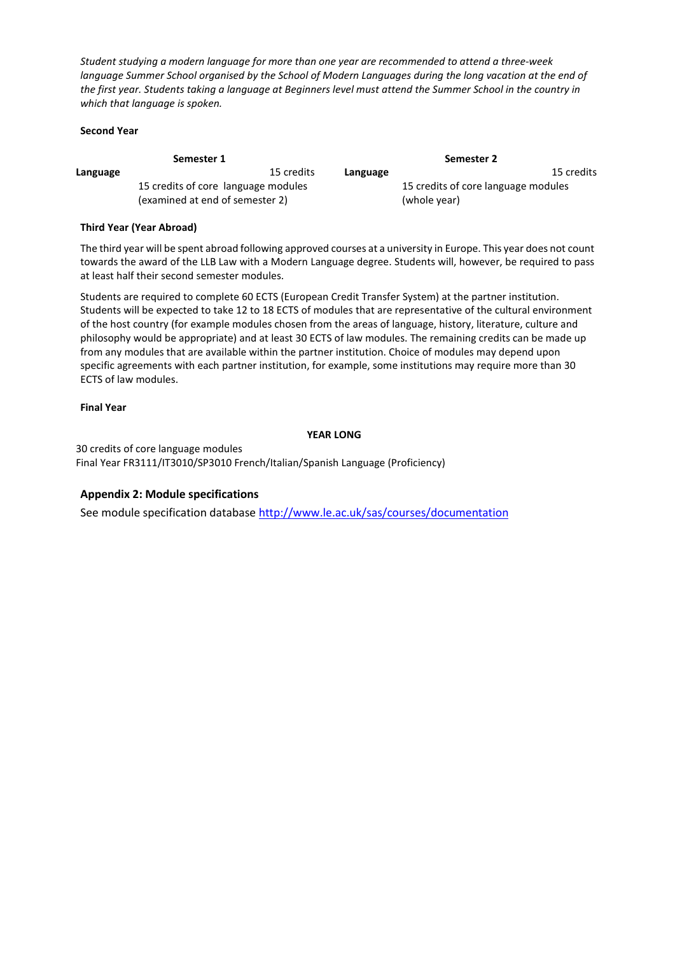*Student studying a modern language for more than one year are recommended to attend a three-week language Summer School organised by the School of Modern Languages during the long vacation at the end of the first year. Students taking a language at Beginners level must attend the Summer School in the country in which that language is spoken.*

#### **Second Year**

|          | Semester 1                          |            |          | Semester 2                          |            |
|----------|-------------------------------------|------------|----------|-------------------------------------|------------|
| Language |                                     | 15 credits | Language |                                     | 15 credits |
|          | 15 credits of core language modules |            |          | 15 credits of core language modules |            |
|          | (examined at end of semester 2)     |            |          | (whole year)                        |            |

## **Third Year (Year Abroad)**

The third year will be spent abroad following approved courses at a university in Europe. This year does not count towards the award of the LLB Law with a Modern Language degree. Students will, however, be required to pass at least half their second semester modules.

Students are required to complete 60 ECTS (European Credit Transfer System) at the partner institution. Students will be expected to take 12 to 18 ECTS of modules that are representative of the cultural environment of the host country (for example modules chosen from the areas of language, history, literature, culture and philosophy would be appropriate) and at least 30 ECTS of law modules. The remaining credits can be made up from any modules that are available within the partner institution. Choice of modules may depend upon specific agreements with each partner institution, for example, some institutions may require more than 30 ECTS of law modules.

#### **Final Year**

#### **YEAR LONG**

30 credits of core language modules Final Year FR3111/IT3010/SP3010 French/Italian/Spanish Language (Proficiency)

## **Appendix 2: Module specifications**

See module specification database<http://www.le.ac.uk/sas/courses/documentation>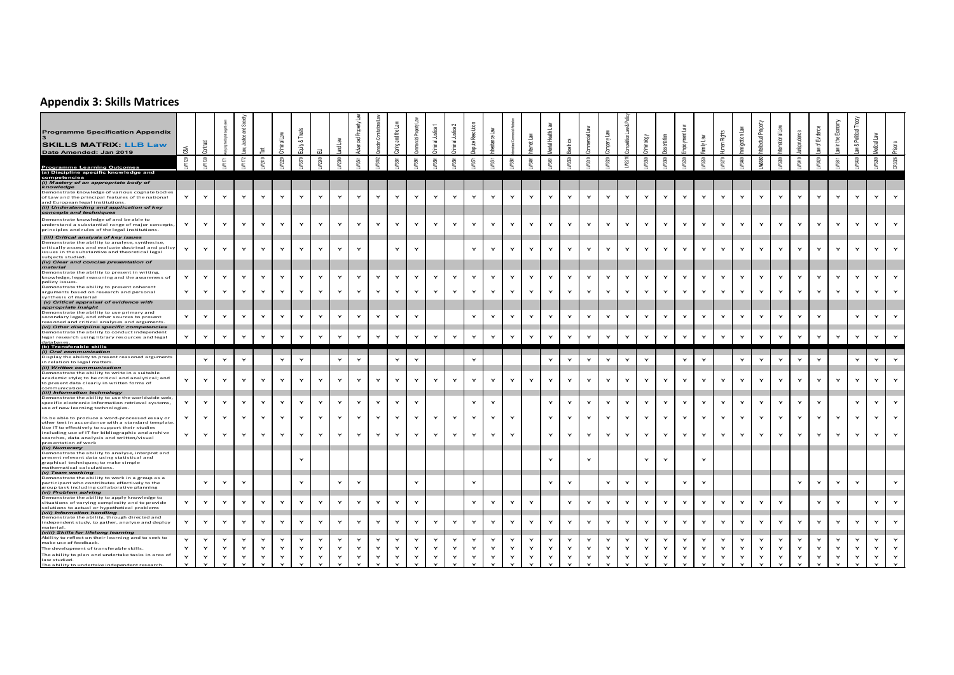# **Appendix 3: Skills Matrices**

| <b>Programme Specification Appendix</b><br><b>SKILLS MATRIX: LLB Law</b>                                                                                                                                                                                                                                                                          |              |                    |                                    |            |                    |                         | $_{\infty}$       |                    |                   | yeer)<br>- ප      |              | 옴<br>읂       |              |            |                         |                    |                 |                   |                   |              |                         |              |              |              |              |                   |   |                   |              |                    |              |                   |                              |              | 巴<br>- 은             |              |            |                    |
|---------------------------------------------------------------------------------------------------------------------------------------------------------------------------------------------------------------------------------------------------------------------------------------------------------------------------------------------------|--------------|--------------------|------------------------------------|------------|--------------------|-------------------------|-------------------|--------------------|-------------------|-------------------|--------------|--------------|--------------|------------|-------------------------|--------------------|-----------------|-------------------|-------------------|--------------|-------------------------|--------------|--------------|--------------|--------------|-------------------|---|-------------------|--------------|--------------------|--------------|-------------------|------------------------------|--------------|----------------------|--------------|------------|--------------------|
| Date Amended: Jan 2019                                                                                                                                                                                                                                                                                                                            |              |                    |                                    |            |                    |                         | 蚃                 |                    |                   |                   |              | ing.         |              |            |                         |                    |                 |                   |                   |              |                         |              |              |              |              |                   |   |                   |              |                    |              |                   |                              |              | $\frac{1}{8}$        |              |            |                    |
| Programme Learning Outcomes<br>(a) Discipline specific knowledge and                                                                                                                                                                                                                                                                              | g,           | LW1130             | Ξ                                  | W1172      | <b>M2410</b>       | Ñ                       | wano              |                    | V2300             | WS41              |              | M3301        |              |            |                         |                    |                 |                   |                   |              |                         |              | s            |              | M3360        |                   |   |                   |              |                    |              |                   | <b>M3410</b>                 |              | M3611                |              |            |                    |
| competencies<br>(i) Mastery of an appropriate body of<br>knowledge                                                                                                                                                                                                                                                                                |              |                    |                                    |            |                    |                         |                   |                    |                   |                   |              |              |              |            |                         |                    |                 |                   |                   |              |                         |              |              |              |              |                   |   |                   |              |                    |              |                   |                              |              |                      |              |            |                    |
| Demonstrate knowledge of various cognate bodies<br>of Law and the principal features of the national<br>and European legal institutions<br>(ii) Understanding and application of key<br>concepts and techniques                                                                                                                                   | $\check{}$   | $\mathbf{Y}$       | $\mathsf{Y}$                       |            | $\checkmark$       | Y                       | $\check{}$        | $\checkmark$       | Y                 | Y                 | $\checkmark$ | Y            | $\mathbf{v}$ | $\check{}$ | $\mathbf{\dot{Y}}$      | $\mathbf{\dot{r}}$ | Y               | $\mathbf{Y}$      | $\checkmark$      | Y            | $\mathbf{\dot{r}}$      | Y            | $\mathsf{Y}$ | $\mathbf{v}$ | $\check{}$   | $\mathbf{Y}$      |   | $\mathbf{Y}$      | Y            | $\check{}$         | $\checkmark$ | Y                 | $\mathbf{v}$                 | $\check{}$   | $\check{}$           |              |            |                    |
| Demonstrate knowledge of and be able to<br>understand a substantial range of major concepts,<br>principles and rules of the legal institutions.                                                                                                                                                                                                   |              | Y                  | $\mathsf{Y}$                       | Y          | $\mathbf{Y}$       | Y                       | Y                 | $\mathbf{v}$       | Y                 | $\mathbf{Y}$      | Y            | Y            | Y            | Y          | $\mathbf{Y}$            | $\mathbf{Y}$       | Y               | Y                 | Y                 | Y            | Y                       | Y            | $\mathsf{Y}$ | Y            | Y            | $\mathsf{Y}$      | Y | $\mathbf{Y}$      | Y            | Y                  | $\mathbf{v}$ | Y                 | Y                            |              | Y                    |              | Y          |                    |
| (iii) Critical analysis of key issues<br>Demonstrate the ability to analyse, synthesise,<br>critically assess and evaluate doctrinal and policy<br>issues in the substantive and theoretical legal<br>subjects studied.<br>( <i>iv) Clear and concise presentation of</i><br>( <i>inaterial</i><br>Demonstrate the ability to present in writing, |              | Y                  | $\mathsf{Y}$                       |            | $\mathbf{v}$       | Y                       | $\checkmark$      | $\check{}$         | $\mathbf{v}$      | $\mathbf{Y}$      |              | $\check{}$   | Y            |            |                         | $\mathbf{v}$       |                 | Y                 | $\mathbf{v}$      | Y            | $\checkmark$            | $\mathbf{v}$ | $\mathsf{Y}$ | $\mathbf{v}$ | $\mathbf{v}$ | Y                 |   | $\mathbf{v}$      | Y            | Y                  | $\mathbf{v}$ | $\mathbf{v}$      | $\mathbf{Y}$                 | $\mathbf{v}$ | $\mathbf{v}$         | $\check{}$   | $\check{}$ | $\mathbf{v}$       |
| knowledge, legal reasoning and the awareness of                                                                                                                                                                                                                                                                                                   | Y            | $\mathbf{Y}$       | $\mathbf{Y}$                       |            | $\mathbf{Y}$       | Y                       | Y                 | Y                  | Y                 | $\mathbf{Y}$      | Y            | Y            | Y            | $\check{}$ | $\mathbf{Y}$            | Y                  | Y               | Y                 | $\mathbf{Y}$      | Y            | $\mathbf{Y}$            | Y            | Y            | $\mathbf{v}$ | Y            | Y                 |   | $\mathbf{Y}$      | Y            | Y                  | $\mathbf{Y}$ | Y                 | $\mathbf{Y}$                 | $\check{}$   | $\mathbf{Y}$         | Y            | $\check{}$ | $\mathbf{v}$       |
| policy issues<br>Demonstrate the ability to present coherent<br>arguments based on research and personal<br>synthesis of material                                                                                                                                                                                                                 | $\mathbf{Y}$ | Y                  | $\mathbf{Y}$                       | Y          | $\mathbf{Y}$       | Y                       | Y                 | $\mathbf{Y}$       | Y                 | $\mathbf{Y}$      | Y            | $\mathbf{Y}$ | $\mathbf{Y}$ | Y          | $\mathbf{Y}$            | Y                  | Y               | $\mathbf{Y}$      | $\mathbf{Y}$      | Y            | Y                       | Y            | $\mathsf{Y}$ | $\mathbf{Y}$ | Y            | $\mathbf{Y}$      | Y | $\mathbf{Y}$      | $\mathbf{Y}$ | Y                  | $\mathbf{Y}$ | Y                 | $\mathbf{Y}$                 | $\check{}$   | Y                    | Y            |            | $\mathbf{v}$       |
| (v) Critical appraisal of evidence with<br>appropriate insight<br>Demonstrate the ability to use primary and                                                                                                                                                                                                                                      |              |                    |                                    |            |                    |                         |                   |                    |                   |                   |              |              |              |            |                         |                    |                 |                   |                   |              |                         |              |              |              |              |                   |   |                   |              |                    |              |                   |                              |              |                      |              |            |                    |
| secondary legal, and other sources to present<br>reasoned and critical analyses and arguments.<br>(vi) Other discipline specific competencies                                                                                                                                                                                                     | $\mathbf{Y}$ | $\mathbf{Y}$       | $\mathbf{Y}$                       |            | $\mathbf{Y}$       | Y                       | Y                 | $\checkmark$       | Y                 | $\mathbf{Y}$      | Y            | Y            | Y            |            |                         | $\mathbf{Y}$       |                 | Y                 | Y                 | $\mathbf{Y}$ | Y                       | Y            | $\mathbf{Y}$ |              | Y            | $\mathbf{Y}$      |   | $\mathbf{Y}$      | $\mathbf{Y}$ | Y                  | $\mathbf{v}$ | $\mathbf{v}$      | $\mathbf{Y}$                 | $\check{}$   |                      | $\check{}$   |            |                    |
| Demonstrate the ability to conduct independent<br>legal research using library resources and legal                                                                                                                                                                                                                                                | $\mathbf{Y}$ | Y                  | $\mathsf{Y}$                       | Y          | $\mathbf{Y}$       | Y                       | Y                 | $\mathbf{Y}$       | Y                 | $\mathbf{Y}$      | Y            | $\mathbf{Y}$ | $\mathsf{Y}$ | Y          | $\mathbf{Y}$            | $\mathbf{\dot{r}}$ | Y               | $\mathbf{Y}$      | $\mathbf{Y}$      | Y            | Y                       | Y            | $\mathsf{Y}$ | $\mathbf{Y}$ | Y            | Y                 | Y | $\mathbf{Y}$      | $\mathbf{Y}$ | $\mathbf{\dot{r}}$ | $\mathbf v$  | Y                 | $\mathbf{Y}$                 | Y            | Y                    | $\mathbf{Y}$ | Y          |                    |
|                                                                                                                                                                                                                                                                                                                                                   |              |                    |                                    |            |                    |                         |                   |                    |                   |                   |              |              |              |            |                         |                    |                 |                   |                   |              |                         |              |              |              |              |                   |   |                   |              |                    |              |                   |                              |              |                      |              |            |                    |
| databases.<br>(b) Transferable skills<br>(i) Oral communication                                                                                                                                                                                                                                                                                   |              |                    |                                    |            |                    |                         |                   |                    |                   |                   |              |              |              |            |                         |                    |                 |                   |                   |              |                         |              |              |              |              |                   |   |                   |              |                    |              |                   |                              |              |                      |              |            |                    |
| Display the ability to present reasoned arguments<br>in relation to legal matters.                                                                                                                                                                                                                                                                |              | Y                  | $\mathsf{Y}$                       | $\check{}$ |                    | Y                       | Y                 |                    | Y                 | Y                 |              | $\mathbf{Y}$ | Y            |            |                         | Y                  |                 |                   |                   | Y            | Y                       | Y            | $\mathsf{Y}$ | $\mathbf{v}$ | Y            |                   | Y | $\mathbf{Y}$      |              | Y                  | $\mathbf{Y}$ | Y                 | Y                            | $\mathbf{Y}$ |                      | $\mathsf{Y}$ | $\check{}$ | $\mathbf{v}$       |
| (ii) Written communication<br>Demonstrate the ability to write in a suitable<br>academic style; to be critical and analytical; and<br>to present data clearly in written forms of                                                                                                                                                                 | $\mathbf{v}$ | $\mathbf{Y}$       | $\mathsf{Y}$                       | Y          | $\mathbf{Y}$       | $\mathbf{Y}$            | Y                 | $\mathbf{Y}$       | Y                 | $\mathbf{Y}$      | Y            | $\mathbf{Y}$ | $\mathbf{Y}$ | Y          | $\mathbf{Y}$            | Y                  | Y               | Y                 | $\mathbf{Y}$      | $\mathbf{Y}$ | Y                       | Y            | $\mathsf{Y}$ | $\mathbf{Y}$ | Y            | Y                 | Y | $\mathsf{Y}$      | $\mathbf{Y}$ | Y                  | $\mathbf{v}$ | Y                 | $\mathbf{Y}$                 | $\mathbf{Y}$ | Y                    | $\mathbf{Y}$ | Y          | $\mathbf{\dot{Y}}$ |
| communication.<br>(iii) Information technology<br>Demonstrate the ability to use the worldwide web,<br>specific electronic information retrieval systems,                                                                                                                                                                                         |              | Y                  | $\mathsf{Y}$                       |            | $\mathbf{Y}$       | Y                       | Y                 | $\mathbf{Y}$       | Y                 | $\mathbf{Y}$      | Y            | Y            | Y            |            |                         | $\mathbf{Y}$       |                 |                   |                   | Y            | Y                       | Y            | $\mathbf{Y}$ |              | Y            | $\mathsf{Y}$      |   | $\mathbf{Y}$      | Y            | Y                  | $\mathbf{Y}$ | Y                 | $\mathbf{Y}$                 | Y            |                      | Y            |            |                    |
| use of new learning technologies.<br>To be able to produce a word-processed essay or<br>other text in accordance with a standard template                                                                                                                                                                                                         |              | Y                  | Y                                  | Y          | $\mathbf{Y}$       | Y                       | Y                 | $\check{}$         | Y                 | Y                 | Y            | Y            | Y            | Y          | Y                       | Y                  | Y               | Y                 |                   | Y            | $\mathbf{Y}$            | Y            | Y            | $\check{}$   | Y            | Y                 | Y | $\mathbf{Y}$      | Y            | Y                  | Y            | Y                 | $\mathbf{Y}$                 | Y            | Y                    | Y            |            |                    |
| Use IT to effectively to support their studies<br>including use of IT for bibliographic and archive<br>searches, data analysis and written/visual                                                                                                                                                                                                 | $\check{}$   | $\mathbf{\dot{r}}$ | $\mathbf{\check{v}}$               | $\check{}$ | $\mathbf{Y}$       | Y                       | Y                 | $\checkmark$       | Y                 | $\mathbf{Y}$      | $\mathbf{v}$ | $\mathsf{Y}$ | Y            | Y          | $\mathbf{Y}$            | Y                  | Y               | $\mathbf{Y}$      |                   | Y            | Y                       | Y            | $\mathsf{Y}$ | $\mathbf{v}$ | $\check{}$   | $\mathsf{Y}$      | Y | $\mathbf{Y}$      | $\mathsf{Y}$ | $\check{}$         | $\checkmark$ | Y                 | $\mathbf{Y}$                 | $\mathbf{v}$ | Y                    | Y            | $\check{}$ | $\mathbf{v}$       |
| presentation of work<br>(iv) Numeracy<br>Demonstrate the ability to analyse, interpret and<br>present relevant data using statistical and<br>graphical techniques; to make simple                                                                                                                                                                 |              |                    |                                    |            |                    |                         | Y                 |                    |                   |                   |              |              |              |            |                         |                    |                 |                   |                   | Y            |                         | Y            |              |              | Y            | $\mathsf{Y}$      |   | $\mathbf{Y}$      |              |                    |              |                   |                              |              |                      |              |            |                    |
| mathematical calculations.<br>(v) Team working<br>Demonstrate the ability to work in a group as a                                                                                                                                                                                                                                                 |              |                    |                                    |            |                    |                         |                   |                    |                   |                   |              |              |              |            |                         |                    |                 |                   |                   |              |                         |              |              |              |              |                   |   |                   |              |                    |              |                   |                              |              |                      |              |            |                    |
| participant who contributes effectively to the                                                                                                                                                                                                                                                                                                    |              | $\check{}$         | $\checkmark$                       |            |                    |                         | $\checkmark$      |                    | $\mathbf{v}$      | $\mathbf{v}$      |              |              | $\mathbf{v}$ |            |                         | $\mathbf{v}$       |                 |                   |                   | $\mathbf{v}$ |                         |              | $\mathbf{Y}$ |              | $\check{}$   |                   |   | $\mathbf{v}$      |              |                    |              |                   | $\mathbf{v}$                 |              | $\check{}$           | $\check{}$   |            |                    |
| group task including collaborative planning<br>(vi) Problem solving<br>Demonstrate the ability to apply knowledge to<br>situations of varving complexity and to provide<br>solutions to actual or hypothetical problems                                                                                                                           |              | $\mathbf{Y}$       | $\mathsf{Y}$                       | $\check{}$ | $\mathbf{\dot{Y}}$ | $\mathsf{Y}$            | Y                 | $\mathbf{\dot{Y}}$ | Y                 | $\mathbf{Y}$      | $\mathbf{Y}$ | $\mathsf{Y}$ | $\mathsf{Y}$ |            |                         | $\mathbf{\dot{r}}$ | $\checkmark$    | $\mathbf{Y}$      | $\check{}$        |              | Y                       | Y            | $\mathsf{Y}$ | $\mathbf{Y}$ | $\mathbf{Y}$ | $\mathsf{Y}$      | Y | $\mathbf{Y}$      | $\mathsf{Y}$ | $\mathbf{Y}$       | $\checkmark$ | Y                 |                              | $\mathbf{v}$ | $\mathbf{\check{r}}$ |              | Y          | $\mathbf{Y}$       |
| (vii) Information handling<br>Demonstrate the ability, through directed and<br>independent study, to gather, analyse and deploy<br>material.                                                                                                                                                                                                      | Y            | $\mathbf{Y}$       | $\mathsf{Y}$                       | Y          | $\mathbf{Y}$       | Y                       | Y                 | $\checkmark$       | Y                 | $\mathbf{Y}$      | $\mathbf{Y}$ | $\mathbf{Y}$ | $\mathsf{Y}$ | $\check{}$ | $\mathbf{Y}$            | Y                  | Y               | $\mathbf{Y}$      | Y                 | Y            | Y                       | Y            | $\mathbf{Y}$ | $\mathbf{v}$ | $\mathbf{Y}$ | $\mathbf{Y}$      | Y | $\mathbf{Y}$      | Y            | Y                  | $\mathbf{Y}$ | Y                 | $\mathbf{Y}$                 | $\mathbf{v}$ | Y                    | Y            |            | $\mathbf{v}$       |
| (viii) Skills for lifelong learning<br>Ability to reflect on their learning and to seek to<br>make use of feedback.                                                                                                                                                                                                                               |              | Y                  | Y                                  |            | $\mathbf{Y}$       | Y                       | Y                 | Y                  | Y                 | $\mathbf{Y}$      | Y            | Y            | Y            | Y          | $\mathbf{Y}$            | Y                  | Y               | Y                 | Y                 | Y            | Y                       | Y            | Y            | Y            | Y            | Y                 | Y | $\mathbf{Y}$      | Y            | Y                  | $\mathbf{Y}$ | Y                 | Y                            | Y            | Y                    | Y            | $\check{}$ | $\mathbf{Y}$       |
| The development of transferable skills.<br>The ability to plan and undertake tasks in area of<br>law studied.                                                                                                                                                                                                                                     | $\check{}$   | $\checkmark$       | $\mathbf{Y}$<br>$\mathbf{\dot{r}}$ |            | Y<br>$\mathbf{Y}$  | Y<br>$\mathbf{\dot{r}}$ | Y<br>$\checkmark$ | Y                  | Y<br>$\mathbf{Y}$ | $\mathbf{Y}$<br>Y | $\mathbf{Y}$ | Y<br>Y       | Y<br>Y       | Y          | Y<br>$\mathbf{\dot{r}}$ | $\mathbf{Y}$<br>Y  | Y<br>$\check{}$ | Y<br>$\mathbf{Y}$ | Y<br>$\checkmark$ | Y<br>Y       | Y<br>$\mathbf{\dot{r}}$ | Y<br>Y       | Y<br>Y       | Y            | Y            | Y<br>$\mathbf{Y}$ |   | Y<br>$\mathbf{v}$ | Y<br>Y       | Y                  | $\mathbf{Y}$ | Y<br>$\mathbf{Y}$ | $\mathbf{Y}$<br>$\mathbf{Y}$ | Y            | Y<br>Y               | Y<br>Y       |            | $\mathbf{Y}$       |